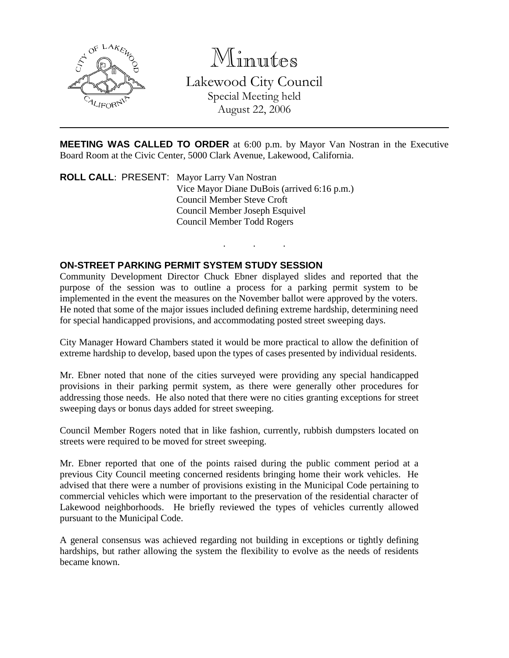

Minutes

Lakewood City Council Special Meeting held August 22, 2006

**MEETING WAS CALLED TO ORDER** at 6:00 p.m. by Mayor Van Nostran in the Executive Board Room at the Civic Center, 5000 Clark Avenue, Lakewood, California.

. . .

**ROLL CALL**: PRESENT: Mayor Larry Van Nostran Vice Mayor Diane DuBois (arrived 6:16 p.m.) Council Member Steve Croft Council Member Joseph Esquivel Council Member Todd Rogers

## **ON-STREET PARKING PERMIT SYSTEM STUDY SESSION**

Community Development Director Chuck Ebner displayed slides and reported that the purpose of the session was to outline a process for a parking permit system to be implemented in the event the measures on the November ballot were approved by the voters. He noted that some of the major issues included defining extreme hardship, determining need for special handicapped provisions, and accommodating posted street sweeping days.

City Manager Howard Chambers stated it would be more practical to allow the definition of extreme hardship to develop, based upon the types of cases presented by individual residents.

Mr. Ebner noted that none of the cities surveyed were providing any special handicapped provisions in their parking permit system, as there were generally other procedures for addressing those needs. He also noted that there were no cities granting exceptions for street sweeping days or bonus days added for street sweeping.

Council Member Rogers noted that in like fashion, currently, rubbish dumpsters located on streets were required to be moved for street sweeping.

Mr. Ebner reported that one of the points raised during the public comment period at a previous City Council meeting concerned residents bringing home their work vehicles. He advised that there were a number of provisions existing in the Municipal Code pertaining to commercial vehicles which were important to the preservation of the residential character of Lakewood neighborhoods. He briefly reviewed the types of vehicles currently allowed pursuant to the Municipal Code.

A general consensus was achieved regarding not building in exceptions or tightly defining hardships, but rather allowing the system the flexibility to evolve as the needs of residents became known.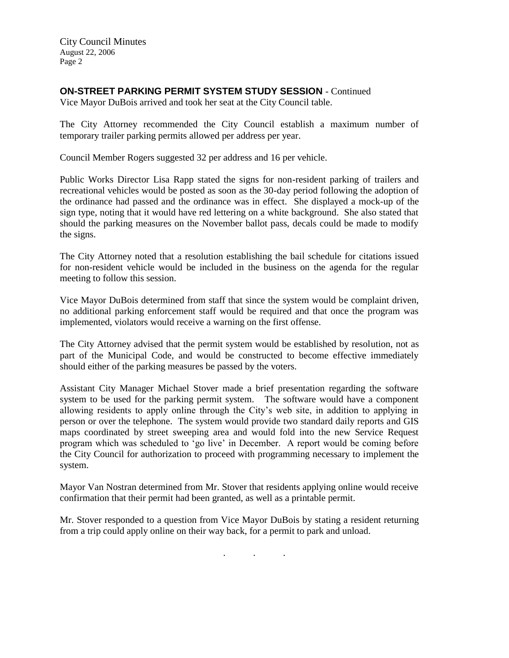City Council Minutes August 22, 2006 Page 2

## **ON-STREET PARKING PERMIT SYSTEM STUDY SESSION** - Continued

Vice Mayor DuBois arrived and took her seat at the City Council table.

The City Attorney recommended the City Council establish a maximum number of temporary trailer parking permits allowed per address per year.

Council Member Rogers suggested 32 per address and 16 per vehicle.

Public Works Director Lisa Rapp stated the signs for non-resident parking of trailers and recreational vehicles would be posted as soon as the 30-day period following the adoption of the ordinance had passed and the ordinance was in effect. She displayed a mock-up of the sign type, noting that it would have red lettering on a white background. She also stated that should the parking measures on the November ballot pass, decals could be made to modify the signs.

The City Attorney noted that a resolution establishing the bail schedule for citations issued for non-resident vehicle would be included in the business on the agenda for the regular meeting to follow this session.

Vice Mayor DuBois determined from staff that since the system would be complaint driven, no additional parking enforcement staff would be required and that once the program was implemented, violators would receive a warning on the first offense.

The City Attorney advised that the permit system would be established by resolution, not as part of the Municipal Code, and would be constructed to become effective immediately should either of the parking measures be passed by the voters.

Assistant City Manager Michael Stover made a brief presentation regarding the software system to be used for the parking permit system. The software would have a component allowing residents to apply online through the City's web site, in addition to applying in person or over the telephone. The system would provide two standard daily reports and GIS maps coordinated by street sweeping area and would fold into the new Service Request program which was scheduled to 'go live' in December. A report would be coming before the City Council for authorization to proceed with programming necessary to implement the system.

Mayor Van Nostran determined from Mr. Stover that residents applying online would receive confirmation that their permit had been granted, as well as a printable permit.

Mr. Stover responded to a question from Vice Mayor DuBois by stating a resident returning from a trip could apply online on their way back, for a permit to park and unload.

. . .